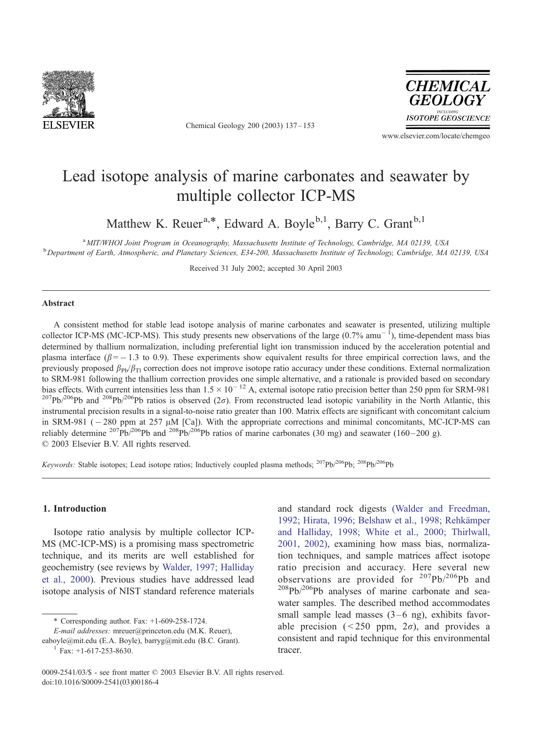

Chemical Geology 200 (2003) 137 – 153



www.elsevier.com/locate/chemgeo

# Lead isotope analysis of marine carbonates and seawater by multiple collector ICP-MS

Matthew K. Reuer<sup>a,\*</sup>, Edward A. Boyle<sup>b,1</sup>, Barry C. Grant<sup>b,1</sup>

<sup>a</sup> MIT/WHOI Joint Program in Oceanography, Massachusetts Institute of Technology, Cambridge, MA 02139, USA <sup>b</sup>Department of Earth, Atmospheric, and Planetary Sciences, E34-200, Massachusetts Institute of Technology, Cambridge, MA 02139, USA

Received 31 July 2002; accepted 30 April 2003

### Abstract

A consistent method for stable lead isotope analysis of marine carbonates and seawater is presented, utilizing multiple collector ICP-MS (MC-ICP-MS). This study presents new observations of the large  $(0.7\% \text{ amu}^{-1})$ , time-dependent mass bias determined by thallium normalization, including preferential light ion transmission induced by the acceleration potential and plasma interface ( $\beta$  = -1.3 to 0.9). These experiments show equivalent results for three empirical correction laws, and the previously proposed  $\beta_{\text{Ph}}/\beta_{\text{TI}}$  correction does not improve isotope ratio accuracy under these conditions. External normalization to SRM-981 following the thallium correction provides one simple alternative, and a rationale is provided based on secondary bias effects. With current intensities less than  $1.5 \times 10^{-12}$  A, external isotope ratio precision better than 250 ppm for SRM-981  $10^{207}Pb^{206}Pb$  and  $2^{08}Pb^{206}Pb$  ratios is observed (2 $\sigma$ ). From reconstructed lead isotopic variability in the North Atlantic, this instrumental precision results in a signal-to-noise ratio greater than 100. Matrix effects are significant with concomitant calcium in SRM-981 ( $-280$  ppm at 257  $\mu$ M [Ca]). With the appropriate corrections and minimal concomitants, MC-ICP-MS can reliably determine <sup>207</sup>Pb/<sup>206</sup>Pb and <sup>208</sup>Pb/<sup>206</sup>Pb ratios of marine carbonates (30 mg) and seawater (160–200 g).  $© 2003 Elsevier B.V. All rights reserved.$ 

Keywords: Stable isotopes; Lead isotope ratios; Inductively coupled plasma methods; <sup>207</sup>Pb/<sup>206</sup>Pb; <sup>208</sup>Pb/<sup>206</sup>Pb

# 1. Introduction

Isotope ratio analysis by multiple collector ICP-MS (MC-ICP-MS) is a promising mass spectrometric technique, and its merits are well established for geochemistry (see reviews by [Walder, 1997; Halliday](#page-16-0) et al., 2000). Previous studies have addressed lead isotope analysis of NIST standard reference materials

\* Corresponding author. Fax: +1-609-258-1724.

E-mail addresses: mreuer@princeton.edu (M.K. Reuer),

eaboyle@mit.edu (E.A. Boyle), barryg@mit.edu (B.C. Grant). <sup>1</sup> Fax: +1-617-253-8630.

and standard rock digests [\(Walder and Freedman,](#page-16-0) 1992; Hirata, 1996; Belshaw et al., 1998; Rehkämper and Halliday, 1998; White et al., 2000; Thirlwall, 2001, 2002), examining how mass bias, normalization techniques, and sample matrices affect isotope ratio precision and accuracy. Here several new observations are provided for 207Pb/206Pb and  $^{208}Pb^{206}Pb$  analyses of marine carbonate and seawater samples. The described method accommodates small sample lead masses  $(3-6 \text{ ng})$ , exhibits favorable precision ( $\leq 250$  ppm,  $2\sigma$ ), and provides a consistent and rapid technique for this environmental tracer.

<sup>0009-2541/03/\$ -</sup> see front matter © 2003 Elsevier B.V. All rights reserved. doi:10.1016/S0009-2541(03)00186-4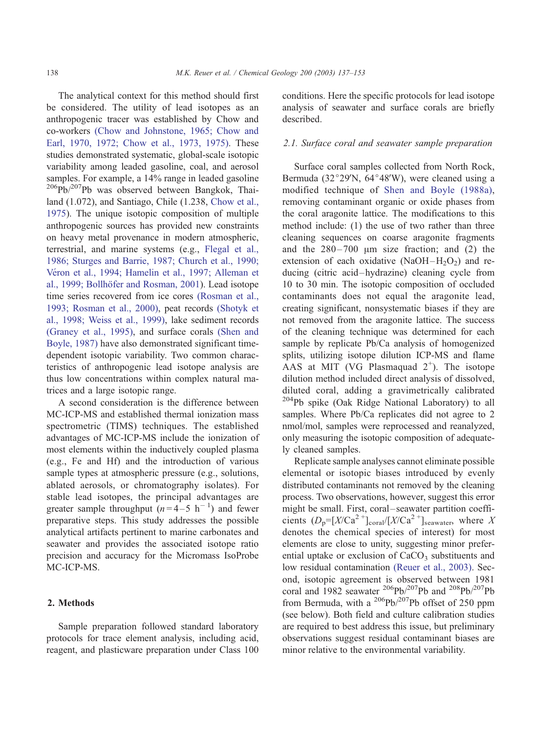The analytical context for this method should first be considered. The utility of lead isotopes as an anthropogenic tracer was established by Chow and co-workers [\(Chow and Johnstone, 1965; Chow and](#page-14-0) Earl, 1970, 1972; Chow et al., 1973, 1975). These studies demonstrated systematic, global-scale isotopic variability among leaded gasoline, coal, and aerosol samples. For example, a 14% range in leaded gasoline  $^{206}Pb/^{207}Pb$  was observed between Bangkok, Thailand (1.072), and Santiago, Chile (1.238, [Chow et al.,](#page-14-0) 1975). The unique isotopic composition of multiple anthropogenic sources has provided new constraints on heavy metal provenance in modern atmospheric, terrestrial, and marine systems (e.g., [Flegal et al.,](#page-15-0) 1986; Sturges and Barrie, 1987; Church et al., 1990; Véron et al., 1994; Hamelin et al., 1997; Alleman et al., 1999; Bollhöfer and Rosman, 2001). Lead isotope time series recovered from ice cores [\(Rosman et al.,](#page-15-0) 1993; Rosman et al., 2000), peat records [\(Shotyk et](#page-15-0) al., 1998; Weiss et al., 1999), lake sediment records [\(Graney et al., 1995\),](#page-15-0) and surface corals [\(Shen and](#page-15-0) Boyle, 1987) have also demonstrated significant timedependent isotopic variability. Two common characteristics of anthropogenic lead isotope analysis are thus low concentrations within complex natural matrices and a large isotopic range.

A second consideration is the difference between MC-ICP-MS and established thermal ionization mass spectrometric (TIMS) techniques. The established advantages of MC-ICP-MS include the ionization of most elements within the inductively coupled plasma (e.g., Fe and Hf) and the introduction of various sample types at atmospheric pressure (e.g., solutions, ablated aerosols, or chromatography isolates). For stable lead isotopes, the principal advantages are greater sample throughput  $(n=4-5 \text{ h}^{-1})$  and fewer preparative steps. This study addresses the possible analytical artifacts pertinent to marine carbonates and seawater and provides the associated isotope ratio precision and accuracy for the Micromass IsoProbe MC-ICP-MS.

# 2. Methods

Sample preparation followed standard laboratory protocols for trace element analysis, including acid, reagent, and plasticware preparation under Class 100 conditions. Here the specific protocols for lead isotope analysis of seawater and surface corals are briefly described.

#### 2.1. Surface coral and seawater sample preparation

Surface coral samples collected from North Rock, Bermuda (32 $^{\circ}$ 29'N, 64 $^{\circ}$ 48'W), were cleaned using a modified technique of [Shen and Boyle \(1988a\),](#page-15-0) removing contaminant organic or oxide phases from the coral aragonite lattice. The modifications to this method include: (1) the use of two rather than three cleaning sequences on coarse aragonite fragments and the  $280 - 700$  µm size fraction; and (2) the extension of each oxidative (NaOH $-H_2O_2$ ) and reducing (citric acid –hydrazine) cleaning cycle from 10 to 30 min. The isotopic composition of occluded contaminants does not equal the aragonite lead, creating significant, nonsystematic biases if they are not removed from the aragonite lattice. The success of the cleaning technique was determined for each sample by replicate Pb/Ca analysis of homogenized splits, utilizing isotope dilution ICP-MS and flame AAS at MIT (VG Plasmaquad  $2^+$ ). The isotope dilution method included direct analysis of dissolved, diluted coral, adding a gravimetrically calibrated <sup>204</sup>Pb spike (Oak Ridge National Laboratory) to all samples. Where Pb/Ca replicates did not agree to 2 nmol/mol, samples were reprocessed and reanalyzed, only measuring the isotopic composition of adequately cleaned samples.

Replicate sample analyses cannot eliminate possible elemental or isotopic biases introduced by evenly distributed contaminants not removed by the cleaning process. Two observations, however, suggest this error might be small. First, coral – seawater partition coefficients  $(D_p=[X/Ca^2+]_{\text{coral}}/[X/Ca^2+]_{\text{seawater}}$ , where X denotes the chemical species of interest) for most elements are close to unity, suggesting minor preferential uptake or exclusion of  $CaCO<sub>3</sub>$  substituents and low residual contamination [\(Reuer et al., 2003\).](#page-15-0) Second, isotopic agreement is observed between 1981 coral and 1982 seawater <sup>206</sup>Pb/<sup>207</sup>Pb and <sup>208</sup>Pb/<sup>207</sup>Pb from Bermuda, with a  $^{206}Pb/^{207}Pb$  offset of 250 ppm (see below). Both field and culture calibration studies are required to best address this issue, but preliminary observations suggest residual contaminant biases are minor relative to the environmental variability.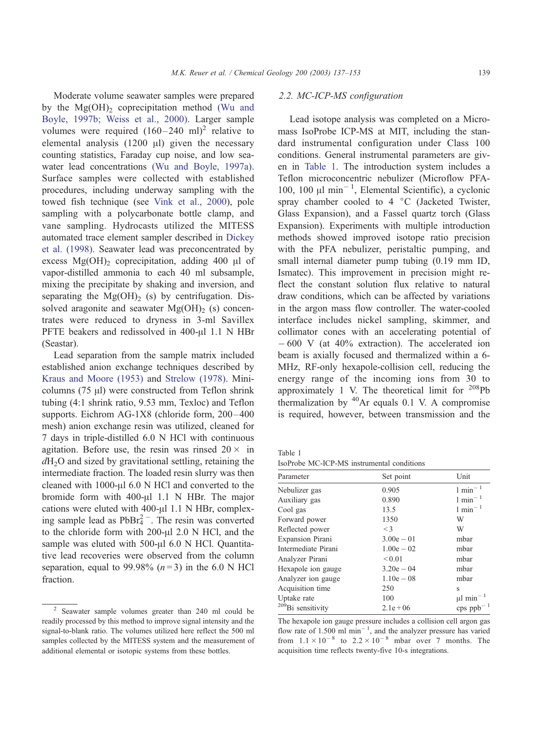<span id="page-2-0"></span>Moderate volume seawater samples were prepared by the  $Mg(OH)$ <sub>2</sub> coprecipitation method [\(Wu and](#page-16-0) Boyle, 1997b; Weiss et al., 2000). Larger sample volumes were required  $(160-240 \text{ ml})^2$  relative to elemental analysis  $(1200 \mu l)$  given the necessary counting statistics, Faraday cup noise, and low seawater lead concentrations [\(Wu and Boyle, 1997a\).](#page-16-0) Surface samples were collected with established procedures, including underway sampling with the towed fish technique (see [Vink et al., 2000\)](#page-16-0), pole sampling with a polycarbonate bottle clamp, and vane sampling. Hydrocasts utilized the MITESS automated trace element sampler described in [Dickey](#page-15-0) et al. (1998). Seawater lead was preconcentrated by excess  $Mg(OH)$ <sub>2</sub> coprecipitation, adding 400  $\mu$ l of vapor-distilled ammonia to each 40 ml subsample, mixing the precipitate by shaking and inversion, and separating the  $Mg(OH)_2$  (s) by centrifugation. Dissolved aragonite and seawater  $Mg(OH)$ <sub>2</sub> (s) concentrates were reduced to dryness in 3-ml Savillex PFTE beakers and redissolved in  $400$ - $\mu$ l 1.1 N HBr (Seastar).

Lead separation from the sample matrix included established anion exchange techniques described by [Kraus and Moore \(1953\)](#page-15-0) and [Strelow \(1978\).](#page-15-0) Minicolumns  $(75 \mu l)$  were constructed from Teflon shrink tubing (4:1 shrink ratio, 9.53 mm, Texloc) and Teflon supports. Eichrom AG-1X8 (chloride form, 200-400 mesh) anion exchange resin was utilized, cleaned for 7 days in triple-distilled 6.0 N HCl with continuous agitation. Before use, the resin was rinsed  $20 \times$  in  $dH_2O$  and sized by gravitational settling, retaining the intermediate fraction. The loaded resin slurry was then cleaned with  $1000$ - $\mu$ l 6.0 N HCl and converted to the bromide form with  $400-\mu$ l 1.1 N HBr. The major cations were eluted with  $400-\mu$ l 1.1 N HBr, complexing sample lead as  $PbBr<sub>4</sub><sup>2</sup>$ . The resin was converted to the chloride form with  $200-\mu$ l  $2.0$  N HCl, and the sample was eluted with  $500$ - $\mu$ l 6.0 N HCl. Quantitative lead recoveries were observed from the column separation, equal to 99.98%  $(n=3)$  in the 6.0 N HCl fraction.

# 2.2. MC-ICP-MS configuration

Lead isotope analysis was completed on a Micromass IsoProbe ICP-MS at MIT, including the standard instrumental configuration under Class 100 conditions. General instrumental parameters are given in Table 1. The introduction system includes a Teflon microconcentric nebulizer (Microflow PFA-100, 100  $\mu$ l min<sup>-1</sup>, Elemental Scientific), a cyclonic spray chamber cooled to 4  $\degree$ C (Jacketed Twister, Glass Expansion), and a Fassel quartz torch (Glass Expansion). Experiments with multiple introduction methods showed improved isotope ratio precision with the PFA nebulizer, peristaltic pumping, and small internal diameter pump tubing (0.19 mm ID, Ismatec). This improvement in precision might reflect the constant solution flux relative to natural draw conditions, which can be affected by variations in the argon mass flow controller. The water-cooled interface includes nickel sampling, skimmer, and collimator cones with an accelerating potential of  $-600$  V (at 40% extraction). The accelerated ion beam is axially focused and thermalized within a 6- MHz, RF-only hexapole-collision cell, reducing the energy range of the incoming ions from 30 to approximately 1 V. The theoretical limit for  $^{208}Pb$ thermalization by  $40$ Ar equals 0.1 V. A compromise is required, however, between transmission and the

Table 1

IsoProbe MC-ICP-MS instrumental conditions

| Parameter                     | Set point    | Unit                                 |
|-------------------------------|--------------|--------------------------------------|
| Nebulizer gas                 | 0.905        | $1$ min <sup>-1</sup>                |
| Auxiliary gas                 | 0.890        | $1$ min <sup>-1</sup>                |
| Cool gas                      | 13.5         | $1$ min <sup><math>-1</math></sup>   |
| Forward power                 | 1350         | W                                    |
| Reflected power               | $\leq$ 3     | W                                    |
| Expansion Pirani              | $3.00e - 01$ | mbar                                 |
| Intermediate Pirani           | $1.00e - 02$ | mbar                                 |
| Analyzer Pirani               | ${}_{0.01}$  | mbar                                 |
| Hexapole ion gauge            | $3.20e - 04$ | mbar                                 |
| Analyzer ion gauge            | $1.10e - 08$ | mbar                                 |
| Acquisition time              | 250          | s                                    |
| Uptake rate                   | 100          | $\mu$ l min <sup>-1</sup>            |
| <sup>209</sup> Bi sensitivity | $2.1e + 06$  | $cps$ ppb <sup><math>-1</math></sup> |

The hexapole ion gauge pressure includes a collision cell argon gas flow rate of  $1.500$  ml  $min^{-1}$ , and the analyzer pressure has varied from  $1.1 \times 10^{-8}$  to  $2.2 \times 10^{-8}$  mbar over 7 months. The acquisition time reflects twenty-five 10-s integrations.

<sup>2</sup> Seawater sample volumes greater than 240 ml could be readily processed by this method to improve signal intensity and the signal-to-blank ratio. The volumes utilized here reflect the 500 ml samples collected by the MITESS system and the measurement of additional elemental or isotopic systems from these bottles.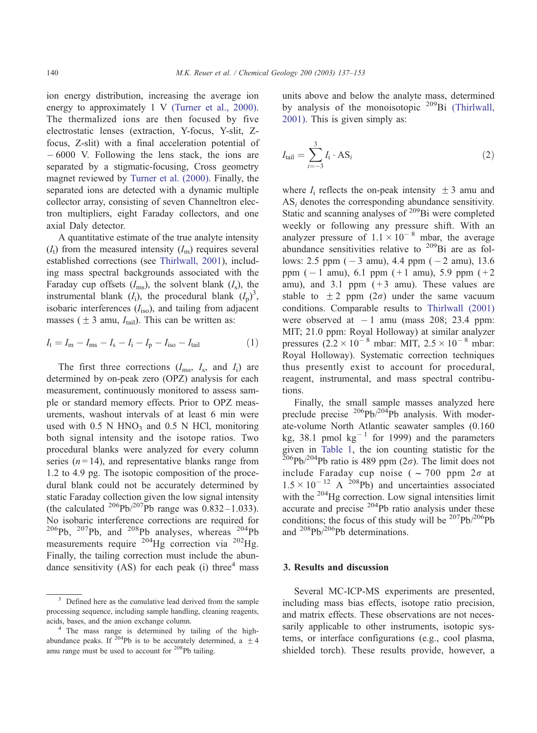ion energy distribution, increasing the average ion energy to approximately 1 V [\(Turner et al., 2000\).](#page-16-0) The thermalized ions are then focused by five electrostatic lenses (extraction, Y-focus, Y-slit, Zfocus, Z-slit) with a final acceleration potential of  $-6000$  V. Following the lens stack, the ions are separated by a stigmatic-focusing, Cross geometry magnet reviewed by [Turner et al. \(2000\).](#page-16-0) Finally, the separated ions are detected with a dynamic multiple collector array, consisting of seven Channeltron electron multipliers, eight Faraday collectors, and one axial Daly detector.

A quantitative estimate of the true analyte intensity  $(I_t)$  from the measured intensity  $(I_m)$  requires several established corrections (see [Thirlwall, 2001\)](#page-16-0), including mass spectral backgrounds associated with the Faraday cup offsets  $(I_{\text{ms}})$ , the solvent blank  $(I_{\text{s}})$ , the instrumental blank  $(I_i)$ , the procedural blank  $(I_p)^3$ , isobaric interferences  $(I_{\text{iso}})$ , and tailing from adjacent masses ( $\pm 3$  amu,  $I_{\text{tail}}$ ). This can be written as:

$$
I_{t} = I_{m} - I_{ms} - I_{s} - I_{i} - I_{p} - I_{iso} - I_{tail}
$$
 (1)

The first three corrections  $(I_{\text{ms}}, I_{\text{s}}, \text{and } I_{\text{i}})$  are determined by on-peak zero (OPZ) analysis for each measurement, continuously monitored to assess sample or standard memory effects. Prior to OPZ measurements, washout intervals of at least 6 min were used with  $0.5$  N HNO<sub>3</sub> and  $0.5$  N HCl, monitoring both signal intensity and the isotope ratios. Two procedural blanks were analyzed for every column series  $(n=14)$ , and representative blanks range from 1.2 to 4.9 pg. The isotopic composition of the procedural blank could not be accurately determined by static Faraday collection given the low signal intensity (the calculated <sup>206</sup>Pb/<sup>207</sup>Pb range was 0.832–1.033). No isobaric interference corrections are required for 206Pb, 207Pb, and 208Pb analyses, whereas 204Pb measurements require  $^{204}$ Hg correction via  $^{202}$ Hg. Finally, the tailing correction must include the abundance sensitivity (AS) for each peak (i) three<sup>4</sup> mass

units above and below the analyte mass, determined by analysis of the monoisotopic <sup>209</sup>Bi [\(Thirlwall,](#page-16-0) 2001). This is given simply as:

$$
I_{\text{tail}} = \sum_{i=-3}^{3} I_i \cdot \text{AS}_i \tag{2}
$$

where  $I_i$  reflects the on-peak intensity  $\pm 3$  amu and  $AS_i$  denotes the corresponding abundance sensitivity. Static and scanning analyses of  $209Bi$  were completed weekly or following any pressure shift. With an analyzer pressure of  $1.1 \times 10^{-8}$  mbar, the average abundance sensitivities relative to 209Bi are as follows: 2.5 ppm  $(-3 \text{ amu})$ , 4.4 ppm  $(-2 \text{ amu})$ , 13.6 ppm  $(-1$  amu), 6.1 ppm  $(+1$  amu), 5.9 ppm  $(+2)$ amu), and 3.1 ppm  $(+3$  amu). These values are stable to  $\pm 2$  ppm ( $2\sigma$ ) under the same vacuum conditions. Comparable results to [Thirlwall \(2001\)](#page-16-0) were observed at  $-1$  amu (mass 208; 23.4 ppm: MIT; 21.0 ppm: Royal Holloway) at similar analyzer pressures  $(2.2 \times 10^{-8} \text{ mbar: MIT}, 2.5 \times 10^{-8} \text{ mbar:}$ Royal Holloway). Systematic correction techniques thus presently exist to account for procedural, reagent, instrumental, and mass spectral contributions.

Finally, the small sample masses analyzed here preclude precise  $^{206}Pb/^{204}Pb$  analysis. With moderate-volume North Atlantic seawater samples (0.160 kg, 38.1 pmol  $kg^{-1}$  for 1999) and the parameters given in [Table 1,](#page-2-0) the ion counting statistic for the  $^{206}Pb/^{204}Pb$  ratio is 489 ppm (2 $\sigma$ ). The limit does not include Faraday cup noise ( $\sim$  700 ppm  $2\sigma$  at  $1.5 \times 10^{-12}$  A <sup>208</sup>Pb) and uncertainties associated with the <sup>204</sup>Hg correction. Low signal intensities limit accurate and precise  $204Pb$  ratio analysis under these conditions; the focus of this study will be  $207Pb/206Pb$ and 208Pb/206Pb determinations.

#### 3. Results and discussion

Several MC-ICP-MS experiments are presented, including mass bias effects, isotope ratio precision, and matrix effects. These observations are not necessarily applicable to other instruments, isotopic systems, or interface configurations (e.g., cool plasma, shielded torch). These results provide, however, a

Defined here as the cumulative lead derived from the sample processing sequence, including sample handling, cleaning reagents, acids, bases, and the anion exchange column.

<sup>4</sup> The mass range is determined by tailing of the highabundance peaks. If <sup>204</sup>Pb is to be accurately determined, a  $\pm 4$ amu range must be used to account for <sup>208</sup>Pb tailing.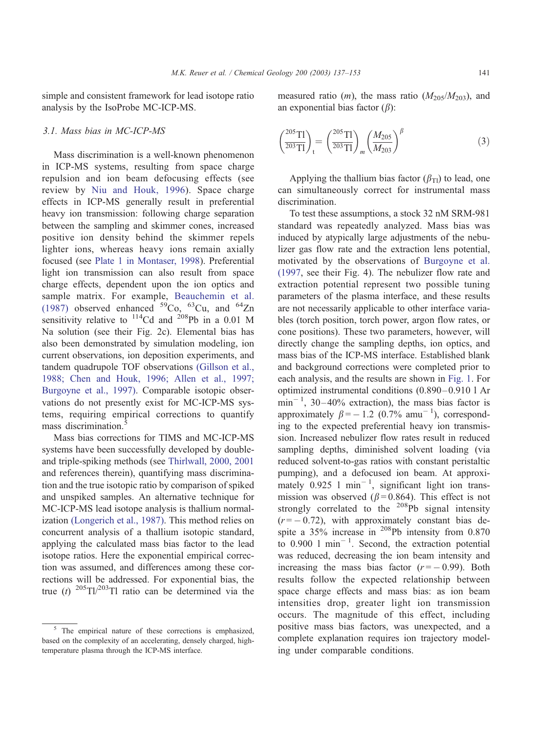simple and consistent framework for lead isotope ratio analysis by the IsoProbe MC-ICP-MS.

#### 3.1. Mass bias in MC-ICP-MS

Mass discrimination is a well-known phenomenon in ICP-MS systems, resulting from space charge repulsion and ion beam defocusing effects (see review by [Niu and Houk, 1996\)](#page-15-0). Space charge effects in ICP-MS generally result in preferential heavy ion transmission: following charge separation between the sampling and skimmer cones, increased positive ion density behind the skimmer repels lighter ions, whereas heavy ions remain axially focused (see [Plate 1 in Montaser, 1998\)](#page-15-0). Preferential light ion transmission can also result from space charge effects, dependent upon the ion optics and sample matrix. For example, [Beauchemin et al.](#page-14-0) (1987) observed enhanced  $59^{\circ}$ Co,  $63^{\circ}$ Cu, and  $64^{\circ}$ Zn sensitivity relative to  $^{114}$ Cd and  $^{208}$ Pb in a 0.01 M Na solution (see their Fig. 2c). Elemental bias has also been demonstrated by simulation modeling, ion current observations, ion deposition experiments, and tandem quadrupole TOF observations [\(Gillson et al.,](#page-15-0) 1988; Chen and Houk, 1996; Allen et al., 1997; Burgoyne et al., 1997). Comparable isotopic observations do not presently exist for MC-ICP-MS systems, requiring empirical corrections to quantify mass discrimination.<sup>5</sup>

Mass bias corrections for TIMS and MC-ICP-MS systems have been successfully developed by doubleand triple-spiking methods (see [Thirlwall, 2000, 2001](#page-16-0) and references therein), quantifying mass discrimination and the true isotopic ratio by comparison of spiked and unspiked samples. An alternative technique for MC-ICP-MS lead isotope analysis is thallium normalization [\(Longerich et al., 1987\).](#page-15-0) This method relies on concurrent analysis of a thallium isotopic standard, applying the calculated mass bias factor to the lead isotope ratios. Here the exponential empirical correction was assumed, and differences among these corrections will be addressed. For exponential bias, the true (t)  $^{205}$ Tl/<sup>203</sup>Tl ratio can be determined via the

measured ratio (*m*), the mass ratio ( $M_{205}/M_{203}$ ), and an exponential bias factor  $(\beta)$ :

$$
\left(\frac{^{205}\text{TI}}{^{203}\text{TI}}\right)_t = \left(\frac{^{205}\text{TI}}{^{203}\text{TI}}\right)_m \left(\frac{M_{205}}{M_{203}}\right)^\beta \tag{3}
$$

Applying the thallium bias factor  $(\beta_{Tl})$  to lead, one can simultaneously correct for instrumental mass discrimination.

To test these assumptions, a stock 32 nM SRM-981 standard was repeatedly analyzed. Mass bias was induced by atypically large adjustments of the nebulizer gas flow rate and the extraction lens potential, motivated by the observations of [Burgoyne et al.](#page-14-0) (1997, see their Fig. 4). The nebulizer flow rate and extraction potential represent two possible tuning parameters of the plasma interface, and these results are not necessarily applicable to other interface variables (torch position, torch power, argon flow rates, or cone positions). These two parameters, however, will directly change the sampling depths, ion optics, and mass bias of the ICP-MS interface. Established blank and background corrections were completed prior to each analysis, and the results are shown in [Fig. 1.](#page-5-0) For optimized instrumental conditions (0.890 – 0.910 l Ar  $\min^{-1}$ , 30–40% extraction), the mass bias factor is approximately  $\beta = -1.2$  (0.7% amu<sup>-1</sup>), corresponding to the expected preferential heavy ion transmission. Increased nebulizer flow rates result in reduced sampling depths, diminished solvent loading (via reduced solvent-to-gas ratios with constant peristaltic pumping), and a defocused ion beam. At approximately  $0.925$  1 min<sup>-1</sup>, significant light ion transmission was observed ( $\beta$ =0.864). This effect is not strongly correlated to the  $^{208}Pb$  signal intensity  $(r = -0.72)$ , with approximately constant bias despite a 35% increase in 208Pb intensity from 0.870 to  $0.900$  1 min<sup>-1</sup>. Second, the extraction potential was reduced, decreasing the ion beam intensity and increasing the mass bias factor  $(r = -0.99)$ . Both results follow the expected relationship between space charge effects and mass bias: as ion beam intensities drop, greater light ion transmission occurs. The magnitude of this effect, including positive mass bias factors, was unexpected, and a complete explanation requires ion trajectory modeling under comparable conditions.

<sup>&</sup>lt;sup>5</sup> The empirical nature of these corrections is emphasized, based on the complexity of an accelerating, densely charged, hightemperature plasma through the ICP-MS interface.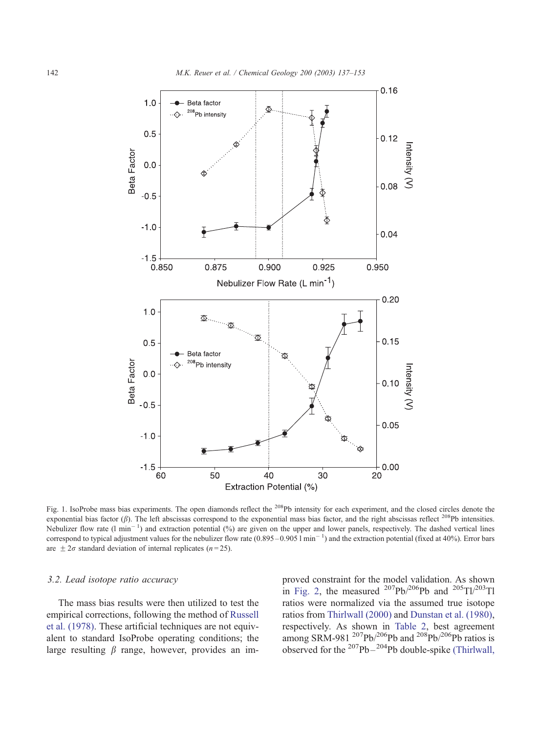<span id="page-5-0"></span>

Fig. 1. IsoProbe mass bias experiments. The open diamonds reflect the <sup>208</sup>Pb intensity for each experiment, and the closed circles denote the exponential bias factor ( $\beta$ ). The left abscissas correspond to the exponential mass bias factor, and the right abscissas reflect <sup>208</sup>Pb intensities. Nebulizer flow rate  $(1 \text{ min}^{-1})$  and extraction potential  $(\%)$  are given on the upper and lower panels, respectively. The dashed vertical lines correspond to typical adjustment values for the nebulizer flow rate  $(0.895-0.9051 \text{ min}^{-1})$  and the extraction potential (fixed at 40%). Error bars are  $\pm 2\sigma$  standard deviation of internal replicates (n=25).

## 3.2. Lead isotope ratio accuracy

The mass bias results were then utilized to test the empirical corrections, following the method of [Russell](#page-15-0) et al. (1978). These artificial techniques are not equivalent to standard IsoProbe operating conditions; the large resulting  $\beta$  range, however, provides an im-

proved constraint for the model validation. As shown in [Fig. 2,](#page-6-0) the measured  $^{207}Pb/^{206}Pb$  and  $^{205}Tl/^{203}Tl$ ratios were normalized via the assumed true isotope ratios from [Thirlwall \(2000\)](#page-16-0) and [Dunstan et al. \(1980\),](#page-15-0) respectively. As shown in [Table 2,](#page-6-0) best agreement among SRM-981  $^{207}Pb/^{206}Pb$  and  $^{208}Pb/^{206}Pb$  ratios is observed for the  $207Pb - 204Pb$  double-spike [\(Thirlwall,](#page-16-0)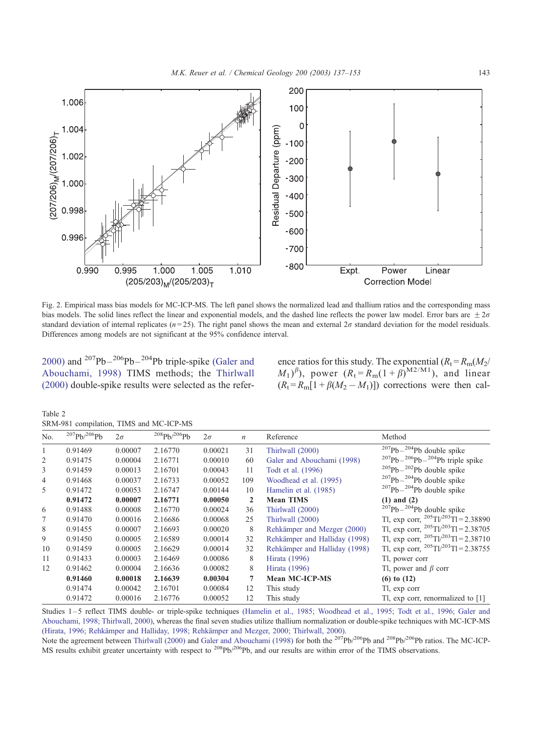<span id="page-6-0"></span>

Fig. 2. Empirical mass bias models for MC-ICP-MS. The left panel shows the normalized lead and thallium ratios and the corresponding mass bias models. The solid lines reflect the linear and exponential models, and the dashed line reflects the power law model. Error bars are  $\pm 2\sigma$ standard deviation of internal replicates ( $n=25$ ). The right panel shows the mean and external  $2\sigma$  standard deviation for the model residuals. Differences among models are not significant at the 95% confidence interval.

2000) and  $207Pb - 206Pb - 204Pb$  triple-spike [\(Galer and](#page-15-0) Abouchami, 1998) TIMS methods; the [Thirlwall](#page-16-0) (2000) double-spike results were selected as the refer-

ence ratios for this study. The exponential  $(R_t = R_m(M_2/\sqrt{m})$  $(M_1)^\beta$ ), power  $(R_t = R_m(1+\beta)^{M2/M_1})$ , and linear  $(R_t = R_m[1 + \beta(M_2 - M_1)])$  corrections were then cal-

Table 2

|  |  |  |  | SRM-981 compilation, TIMS and MC-ICP-MS |
|--|--|--|--|-----------------------------------------|
|--|--|--|--|-----------------------------------------|

| No. | $^{207}Pb/^{206}Pb$ | $2\sigma$ | $^{208}Ph/^{206}Ph$ | $2\sigma$ | n            | Reference                     | Method                                           |
|-----|---------------------|-----------|---------------------|-----------|--------------|-------------------------------|--------------------------------------------------|
|     | 0.91469             | 0.00007   | 2.16770             | 0.00021   | 31           | Thirlwall (2000)              | $207Pb - 204Pb$ double spike                     |
| 2   | 0.91475             | 0.00004   | 2.16771             | 0.00010   | 60           | Galer and Abouchami (1998)    | $^{207}Pb-^{206}Pb-^{204}Pb$ triple spike        |
| 3   | 0.91459             | 0.00013   | 2.16701             | 0.00043   | 11           | Todt et al. (1996)            | $205Pb - 202Pb$ double spike                     |
| 4   | 0.91468             | 0.00037   | 2.16733             | 0.00052   | 109          | Woodhead et al. (1995)        | $207Pb - 204Pb$ double spike                     |
| 5   | 0.91472             | 0.00053   | 2.16747             | 0.00144   | 10           | Hamelin et al. (1985)         | $207Pb - 204Pb$ double spike                     |
|     | 0.91472             | 0.00007   | 2.16771             | 0.00050   | $\mathbf{2}$ | <b>Mean TIMS</b>              | $(1)$ and $(2)$                                  |
| 6   | 0.91488             | 0.00008   | 2.16770             | 0.00024   | 36           | Thirlwall (2000)              | $207Pb - 204Pb$ double spike                     |
|     | 0.91470             | 0.00016   | 2.16686             | 0.00068   | 25           | Thirlwall (2000)              | Tl, exp corr, $^{205}$ Tl/ $^{203}$ Tl = 2.38890 |
| 8   | 0.91455             | 0.00007   | 2.16693             | 0.00020   | 8            | Rehkämper and Mezger (2000)   | Tl, exp corr, $^{205}$ Tl/ $^{203}$ Tl = 2.38705 |
| 9   | 0.91450             | 0.00005   | 2.16589             | 0.00014   | 32           | Rehkämper and Halliday (1998) | Tl, exp corr, $^{205}$ Tl/ $^{203}$ Tl = 2.38710 |
| 10  | 0.91459             | 0.00005   | 2.16629             | 0.00014   | 32           | Rehkämper and Halliday (1998) | Tl, exp corr, $^{205}$ Tl/ $^{203}$ Tl = 2.38755 |
| 11  | 0.91433             | 0.00003   | 2.16469             | 0.00086   | 8            | Hirata (1996)                 | Tl, power corr                                   |
| 12  | 0.91462             | 0.00004   | 2.16636             | 0.00082   | 8            | Hirata (1996)                 | Tl, power and $\beta$ corr                       |
|     | 0.91460             | 0.00018   | 2.16639             | 0.00304   | 7            | <b>Mean MC-ICP-MS</b>         | $(6)$ to $(12)$                                  |
|     | 0.91474             | 0.00042   | 2.16701             | 0.00084   | 12           | This study                    | Tl, exp corr                                     |
|     | 0.91472             | 0.00016   | 2.16776             | 0.00052   | 12           | This study                    | Tl, exp corr, renormalized to [1]                |

Studies 1-5 reflect TIMS double- or triple-spike techniques [\(Hamelin et al., 1985; Woodhead et al., 1995; Todt et al., 1996; Galer and](#page-15-0) Abouchami, 1998; Thirlwall, 2000), whereas the final seven studies utilize thallium normalization or double-spike techniques with MC-ICP-MS (Hirata, 1996; Rehkämper and Halliday, 1998; Rehkämper and Mezger, 2000; Thirlwall, 2000).

Note the agreement between Thirlwall (2000) and Galer and Abouchami (1998) for both the <sup>207</sup>Pb/<sup>206</sup>Pb and <sup>208</sup>Pb/<sup>206</sup>Pb ratios. The MC-ICP-MS results exhibit greater uncertainty with respect to <sup>208</sup>Pb/<sup>206</sup>Pb, and our results are within error of the TIMS observations.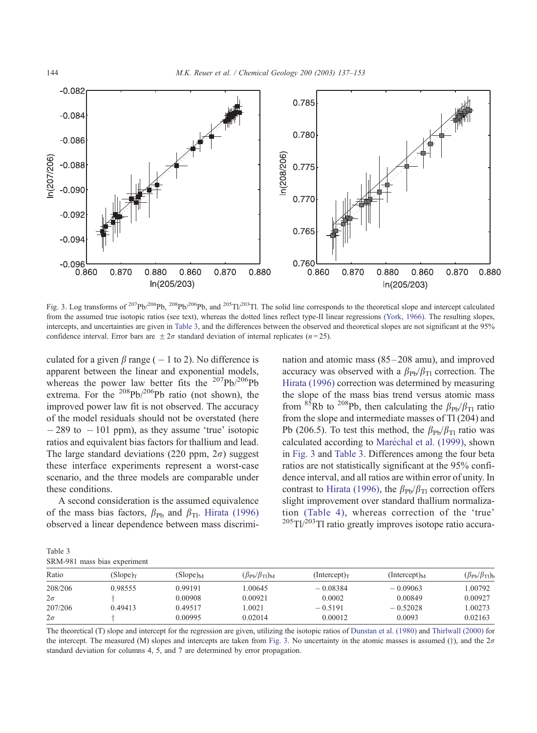<span id="page-7-0"></span>

Fig. 3. Log transforms of <sup>207</sup>Pb/<sup>206</sup>Pb, <sup>208</sup>Pb/<sup>206</sup>Pb, and <sup>205</sup>Tl/<sup>203</sup>Tl. The solid line corresponds to the theoretical slope and intercept calculated from the assumed true isotopic ratios (see text), whereas the dotted lines reflect type-II linear regressions [\(York, 1966\).](#page-16-0) The resulting slopes, intercepts, and uncertainties are given in Table 3, and the differences between the observed and theoretical slopes are not significant at the 95% confidence interval. Error bars are  $\pm 2\sigma$  standard deviation of internal replicates (n=25).

culated for a given  $\beta$  range ( - 1 to 2). No difference is apparent between the linear and exponential models, whereas the power law better fits the  $207Pb/206Pb$ extrema. For the  $208Pb/206Pb$  ratio (not shown), the improved power law fit is not observed. The accuracy of the model residuals should not be overstated (here  $-289$  to  $-101$  ppm), as they assume 'true' isotopic ratios and equivalent bias factors for thallium and lead. The large standard deviations (220 ppm,  $2\sigma$ ) suggest these interface experiments represent a worst-case scenario, and the three models are comparable under these conditions.

A second consideration is the assumed equivalence of the mass bias factors,  $\beta_{\text{Pb}}$  and  $\beta_{\text{Tl}}$ . [Hirata \(1996\)](#page-15-0) observed a linear dependence between mass discrimination and atomic mass (85 – 208 amu), and improved accuracy was observed with a  $\beta_{\text{Pb}}/\beta_{\text{TI}}$  correction. The [Hirata \(1996\)](#page-15-0) correction was determined by measuring the slope of the mass bias trend versus atomic mass from <sup>85</sup>Rb to <sup>208</sup>Pb, then calculating the  $\beta_{\rm Ph}/\beta_{\rm TI}$  ratio from the slope and intermediate masses of Tl (204) and Pb (206.5). To test this method, the  $\beta_{\rm Pb}/\beta_{\rm TI}$  ratio was calculated according to Maréchal et al. (1999), shown in Fig. 3 and Table 3. Differences among the four beta ratios are not statistically significant at the 95% confidence interval, and all ratios are within error of unity. In contrast to [Hirata \(1996\),](#page-15-0) the  $\beta_{\text{Pb}}/\beta_{\text{TI}}$  correction offers slight improvement over standard thallium normalization [\(Table 4\),](#page-8-0) whereas correction of the 'true'  $205$ Tl/ $203$ Tl ratio greatly improves isotope ratio accura-

Table 3 SRM-981 mass bias experiment

| Ratio     | $(Slope)_{T}$ | $(Slope)_{M}$ | $(\beta_{\rm Pb}/\beta_{\rm Tl})_{\rm M}$ | (Intercept) $_{\rm T}$ | $(Intercept)_{M}$ | $(\beta_{\rm Pb}/\beta_{\rm Tl})_{\rm b}$ |  |
|-----------|---------------|---------------|-------------------------------------------|------------------------|-------------------|-------------------------------------------|--|
| 208/206   | 0.98555       | 0.99191       | .00645                                    | $-0.08384$             | $-0.09063$        | 1.00792                                   |  |
| $2\sigma$ |               | 0.00908       | 0.00921                                   | 0.0002                 | 0.00849           | 0.00927                                   |  |
| 207/206   | 0.49413       | 0.49517       | 1.0021                                    | $-0.5191$              | $-0.52028$        | 1.00273                                   |  |
| $2\sigma$ |               | 0.00995       | 0.02014                                   | 0.00012                | 0.0093            | 0.02163                                   |  |

[The theoretical \(T\) slope and intercept for the regression are given, utilizing the isotopic ratios of](#page-15-0) Dunstan et al. (1980) and Thirlwall (2000) for the intercept. The measured (M) slopes and intercepts are taken from Fig. 3. No uncertainty in the atomic masses is assumed (†), and the  $2\sigma$ standard deviation for columns 4, 5, and 7 are determined by error propagation.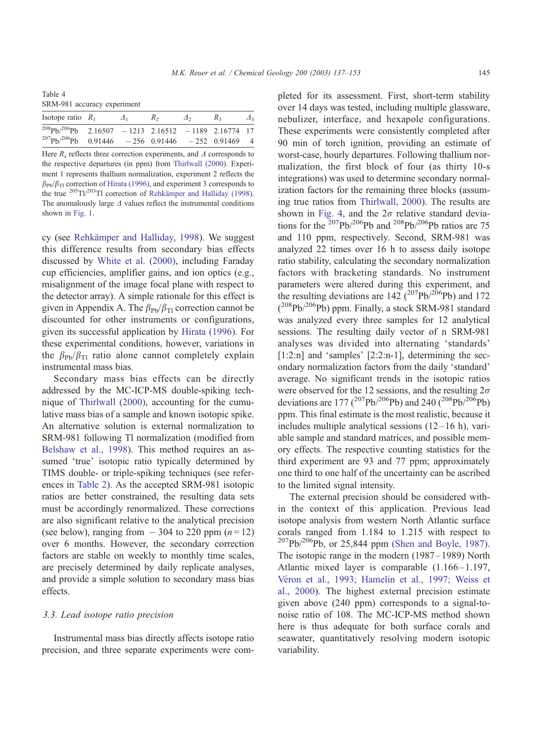<span id="page-8-0"></span>Table 4 SRM-981 accuracy experiment

| Isotope ratio $R_1$                                          | $\Lambda$ <sub>1</sub> | R <sub>2</sub> | $\Delta$ <sup>2</sup> | R <sub>2</sub> | $\Delta$ |
|--------------------------------------------------------------|------------------------|----------------|-----------------------|----------------|----------|
| $^{208}Pb/^{206}Pb$ 2.16507 - 1213 2.16512 - 1189 2.16774 17 |                        |                |                       |                |          |
| $^{207}Pb^{206}Pb$ 0.91446 - 256 0.91446 - 252 0.91469 4     |                        |                |                       |                |          |

Here  $R_x$  reflects three correction experiments, and  $\Delta$  corresponds to [the respective departures \(in ppm\) from](#page-16-0) Thirlwall (2000). Experiment 1 represents thallium normalization, experiment 2 reflects the  $\beta_{\text{Pb}}/\beta_{\text{TI}}$  correction of [Hirata \(1996\), and experiment 3 corresponds to](#page-15-0) the true  $^{205}T1/^{203}T1$  correction of Rehkämper and Halliday (1998). The anomalously large  $\Delta$  [values reflect the instrumental conditions](#page-5-0) shown in Fig. 1.

cy (see Rehkämper and Halliday, 1998). We suggest this difference results from secondary bias effects discussed by [White et al. \(2000\),](#page-16-0) including Faraday cup efficiencies, amplifier gains, and ion optics (e.g., misalignment of the image focal plane with respect to the detector array). A simple rationale for this effect is given in Appendix A. The  $\beta_{\text{Pb}}/\beta_{\text{TI}}$  correction cannot be discounted for other instruments or configurations, given its successful application by [Hirata \(1996\).](#page-15-0) For these experimental conditions, however, variations in the  $\beta_{\text{Pb}}/\beta_{\text{TI}}$  ratio alone cannot completely explain instrumental mass bias.

Secondary mass bias effects can be directly addressed by the MC-ICP-MS double-spiking technique of [Thirlwall \(2000\),](#page-16-0) accounting for the cumulative mass bias of a sample and known isotopic spike. An alternative solution is external normalization to SRM-981 following Tl normalization (modified from [Belshaw et al., 1998\)](#page-14-0). This method requires an assumed 'true' isotopic ratio typically determined by TIMS double- or triple-spiking techniques (see references in [Table 2\)](#page-6-0). As the accepted SRM-981 isotopic ratios are better constrained, the resulting data sets must be accordingly renormalized. These corrections are also significant relative to the analytical precision (see below), ranging from  $-304$  to 220 ppm  $(n=12)$ ) over 6 months. However, the secondary correction factors are stable on weekly to monthly time scales, are precisely determined by daily replicate analyses, and provide a simple solution to secondary mass bias effects.

#### 3.3. Lead isotope ratio precision

Instrumental mass bias directly affects isotope ratio precision, and three separate experiments were com-

pleted for its assessment. First, short-term stability over 14 days was tested, including multiple glassware, nebulizer, interface, and hexapole configurations. These experiments were consistently completed after 90 min of torch ignition, providing an estimate of worst-case, hourly departures. Following thallium normalization, the first block of four (as thirty 10-s integrations) was used to determine secondary normalization factors for the remaining three blocks (assuming true ratios from [Thirlwall, 2000\)](#page-16-0). The results are shown in [Fig. 4,](#page-9-0) and the  $2\sigma$  relative standard deviations for the  $^{207}Pb^{206}Pb$  and  $^{208}Pb^{206}Pb$  ratios are 75 and 110 ppm, respectively. Second, SRM-981 was analyzed 22 times over 16 h to assess daily isotope ratio stability, calculating the secondary normalization factors with bracketing standards. No instrument parameters were altered during this experiment, and the resulting deviations are  $142 \left( \frac{207}{Pb} \right)^{206}$ Pb) and 172  $(^{208}Pb/^{206}Pb)$  ppm. Finally, a stock SRM-981 standard was analyzed every three samples for 12 analytical sessions. The resulting daily vector of n SRM-981 analyses was divided into alternating 'standards' [1:2:n] and 'samples' [2:2:n-1], determining the secondary normalization factors from the daily 'standard' average. No significant trends in the isotopic ratios were observed for the 12 sessions, and the resulting  $2\sigma$ deviations are 177 ( $^{207}Pb/^{206}Pb$ ) and 240 ( $^{208}Pb/^{206}Pb$ ) ppm. This final estimate is the most realistic, because it includes multiple analytical sessions  $(12-16)$  h), variable sample and standard matrices, and possible memory effects. The respective counting statistics for the third experiment are 93 and 77 ppm; approximately one third to one half of the uncertainty can be ascribed to the limited signal intensity.

The external precision should be considered within the context of this application. Previous lead isotope analysis from western North Atlantic surface corals ranged from 1.184 to 1.215 with respect to  $^{207}Pb/^{206}Pb$ , or 25,844 ppm [\(Shen and Boyle, 1987\).](#page-15-0) The isotopic range in the modern (1987 –1989) North Atlantic mixed layer is comparable  $(1.166 - 1.197,$ Véron et al., 1993; Hamelin et al., 1997; Weiss et al., 2000). The highest external precision estimate given above (240 ppm) corresponds to a signal-tonoise ratio of 108. The MC-ICP-MS method shown here is thus adequate for both surface corals and seawater, quantitatively resolving modern isotopic variability.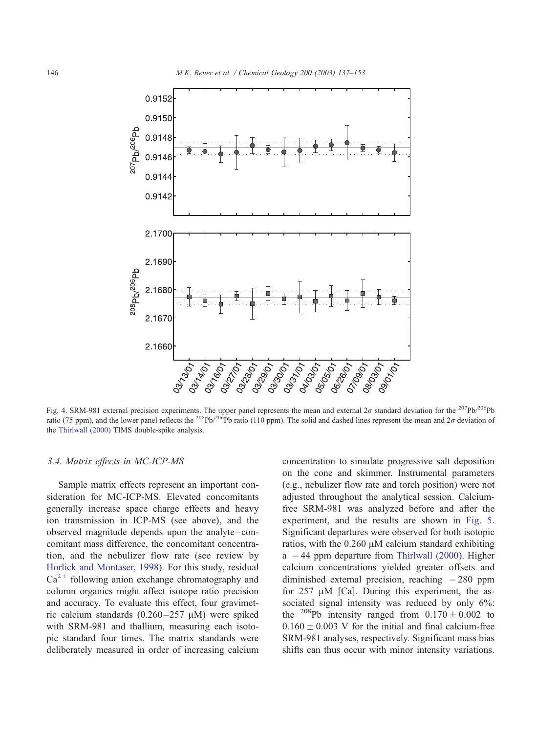<span id="page-9-0"></span>

Fig. 4. SRM-981 external precision experiments. The upper panel represents the mean and external  $2\sigma$  standard deviation for the  $^{207}Pb/^{206}Pb$ ratio (75 ppm), and the lower panel reflects the <sup>208</sup>Pb/<sup>206</sup>Pb ratio (110 ppm). The solid and dashed lines represent the mean and 2 $\sigma$  deviation of the [Thirlwall \(2000\)](#page-16-0) TIMS double-spike analysis.

#### 3.4. Matrix effects in MC-ICP-MS

Sample matrix effects represent an important consideration for MC-ICP-MS. Elevated concomitants generally increase space charge effects and heavy ion transmission in ICP-MS (see above), and the observed magnitude depends upon the analyte –concomitant mass difference, the concomitant concentration, and the nebulizer flow rate (see review by [Horlick and Montaser, 1998\)](#page-15-0). For this study, residual  $Ca<sup>2+</sup>$  following anion exchange chromatography and column organics might affect isotope ratio precision and accuracy. To evaluate this effect, four gravimetric calcium standards  $(0.260-257 \mu M)$  were spiked with SRM-981 and thallium, measuring each isotopic standard four times. The matrix standards were deliberately measured in order of increasing calcium

concentration to simulate progressive salt deposition on the cone and skimmer. Instrumental parameters (e.g., nebulizer flow rate and torch position) were not adjusted throughout the analytical session. Calciumfree SRM-981 was analyzed before and after the experiment, and the results are shown in [Fig. 5.](#page-10-0) Significant departures were observed for both isotopic ratios, with the  $0.260 \mu M$  calcium standard exhibiting  $a - 44$  ppm departure from [Thirlwall \(2000\).](#page-16-0) Higher calcium concentrations yielded greater offsets and diminished external precision, reaching  $-280$  ppm for  $257 \mu M$  [Ca]. During this experiment, the associated signal intensity was reduced by only 6%: the <sup>208</sup>Pb intensity ranged from  $0.170 \pm 0.002$  to  $0.160 \pm 0.003$  V for the initial and final calcium-free SRM-981 analyses, respectively. Significant mass bias shifts can thus occur with minor intensity variations.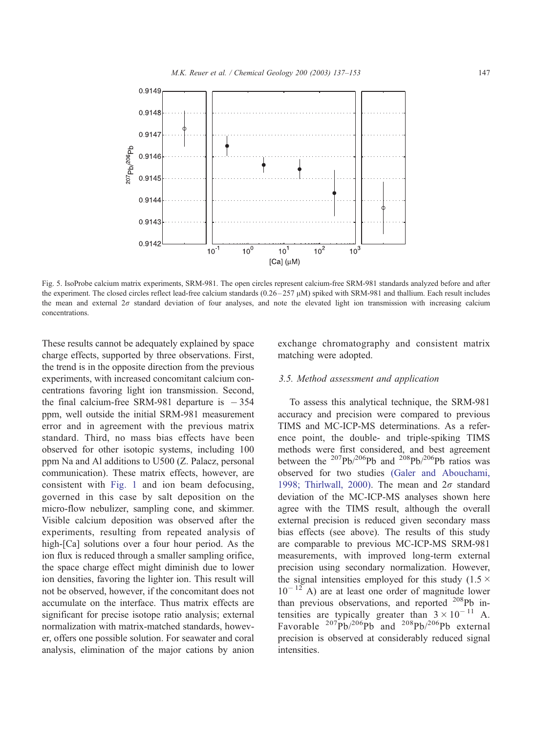<span id="page-10-0"></span>

Fig. 5. IsoProbe calcium matrix experiments, SRM-981. The open circles represent calcium-free SRM-981 standards analyzed before and after the experiment. The closed circles reflect lead-free calcium standards  $(0.26 - 257 \,\mu\text{M})$  spiked with SRM-981 and thallium. Each result includes the mean and external  $2\sigma$  standard deviation of four analyses, and note the elevated light ion transmission with increasing calcium concentrations.

These results cannot be adequately explained by space charge effects, supported by three observations. First, the trend is in the opposite direction from the previous experiments, with increased concomitant calcium concentrations favoring light ion transmission. Second, the final calcium-free SRM-981 departure is  $-354$ ppm, well outside the initial SRM-981 measurement error and in agreement with the previous matrix standard. Third, no mass bias effects have been observed for other isotopic systems, including 100 ppm Na and Al additions to U500 (Z. Palacz, personal communication). These matrix effects, however, are consistent with [Fig. 1](#page-5-0) and ion beam defocusing, governed in this case by salt deposition on the micro-flow nebulizer, sampling cone, and skimmer. Visible calcium deposition was observed after the experiments, resulting from repeated analysis of high-[Ca] solutions over a four hour period. As the ion flux is reduced through a smaller sampling orifice, the space charge effect might diminish due to lower ion densities, favoring the lighter ion. This result will not be observed, however, if the concomitant does not accumulate on the interface. Thus matrix effects are significant for precise isotope ratio analysis; external normalization with matrix-matched standards, however, offers one possible solution. For seawater and coral analysis, elimination of the major cations by anion

exchange chromatography and consistent matrix matching were adopted.

#### 3.5. Method assessment and application

To assess this analytical technique, the SRM-981 accuracy and precision were compared to previous TIMS and MC-ICP-MS determinations. As a reference point, the double- and triple-spiking TIMS methods were first considered, and best agreement between the  $^{207}Pb/^{206}Pb$  and  $^{208}Pb/^{206}Pb$  ratios was observed for two studies [\(Galer and Abouchami,](#page-15-0) 1998; Thirlwall, 2000). The mean and  $2\sigma$  standard deviation of the MC-ICP-MS analyses shown here agree with the TIMS result, although the overall external precision is reduced given secondary mass bias effects (see above). The results of this study are comparable to previous MC-ICP-MS SRM-981 measurements, with improved long-term external precision using secondary normalization. However, the signal intensities employed for this study (1.5  $\times$  $10^{-12}$  A) are at least one order of magnitude lower than previous observations, and reported <sup>208</sup>Pb intensities are typically greater than  $3 \times 10^{-11}$  A. Favorable  $^{207}Pb/^{206}Pb$  and  $^{208}Pb/^{206}Pb$  external precision is observed at considerably reduced signal intensities.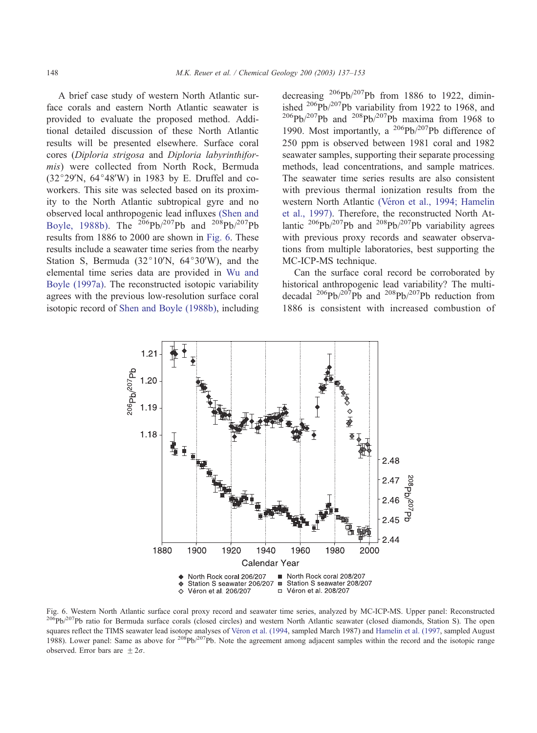<span id="page-11-0"></span>A brief case study of western North Atlantic surface corals and eastern North Atlantic seawater is provided to evaluate the proposed method. Additional detailed discussion of these North Atlantic results will be presented elsewhere. Surface coral cores (Diploria strigosa and Diploria labyrinthiformis) were collected from North Rock, Bermuda  $(32°29'N, 64°48'W)$  in 1983 by E. Druffel and coworkers. This site was selected based on its proximity to the North Atlantic subtropical gyre and no observed local anthropogenic lead influxes [\(Shen and](#page-15-0) Boyle, 1988b). The  $^{206}Pb/^{207}Pb$  and  $^{208}Pb/^{207}Pb$ results from 1886 to 2000 are shown in Fig. 6. These results include a seawater time series from the nearby Station S, Bermuda  $(32^{\circ}10^{\prime})$ N,  $64^{\circ}30^{\prime}$ W), and the elemental time series data are provided in [Wu and](#page-16-0) Boyle (1997a). The reconstructed isotopic variability agrees with the previous low-resolution surface coral isotopic record of [Shen and Boyle \(1988b\),](#page-15-0) including decreasing  $^{206}Pb^{207}Pb$  from 1886 to 1922, diminished  $^{206}Pb/^{207}Pb$  variability from 1922 to 1968, and  $^{206}Pb^{207}Pb$  and  $^{208}Pb^{207}Pb$  maxima from 1968 to 1990. Most importantly, a  $^{206}Pb/^{207}Pb$  difference of 250 ppm is observed between 1981 coral and 1982 seawater samples, supporting their separate processing methods, lead concentrations, and sample matrices. The seawater time series results are also consistent with previous thermal ionization results from the western North Atlantic (Véron et al., 1994; Hamelin et al., 1997). Therefore, the reconstructed North Atlantic  $^{206}Pb^{207}Pb$  and  $^{208}Pb^{207}Pb$  variability agrees with previous proxy records and seawater observations from multiple laboratories, best supporting the MC-ICP-MS technique.

Can the surface coral record be corroborated by historical anthropogenic lead variability? The multidecadal  $^{206}Pb/^{207}Pb$  and  $^{208}Pb/^{207}Pb$  reduction from 1886 is consistent with increased combustion of



Fig. 6. Western North Atlantic surface coral proxy record and seawater time series, analyzed by MC-ICP-MS. Upper panel: Reconstructed  $^{206}Pb/^{207}Pb$  ratio for Bermuda surface corals (closed circles) and western North Atlantic seawater (closed diamonds, Station S). The open squares reflect the TIMS seawater lead isotope analyses of Véron et al. (1994, sampled March 1987) and [Hamelin et al. \(1997,](#page-15-0) sampled August 1988). Lower panel: Same as above for  $2^{08}Pb/2^{07}Pb$ . Note the agreement among adjacent samples within the record and the isotopic range observed. Error bars are  $\pm 2\sigma$ .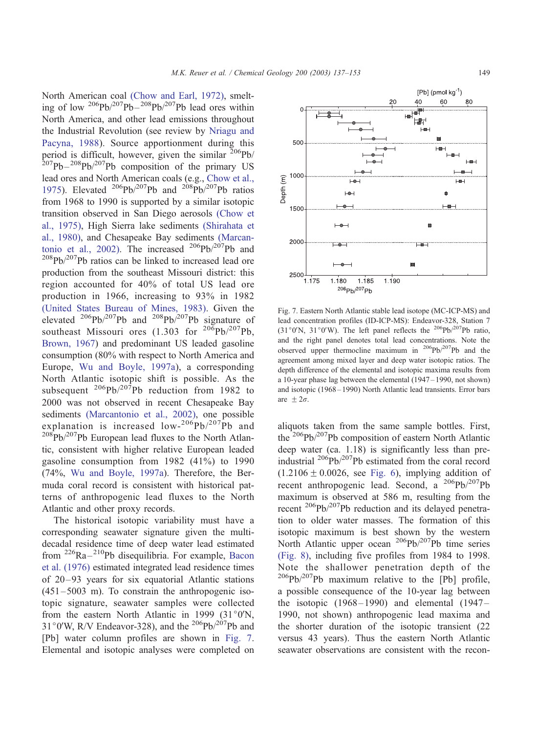North American coal [\(Chow and Earl, 1972\),](#page-14-0) smelting of low  $\frac{206Pb}{207Pb} - \frac{208Pb}{207Pb}$  lead ores within North America, and other lead emissions throughout the Industrial Revolution (see review by [Nriagu and](#page-15-0) Pacyna, 1988). Source apportionment during this period is difficult, however, given the similar  $^{206}Pb/$  $^{207}Pb - ^{208}Pb/^{207}Pb$  composition of the primary US lead ores and North American coals (e.g., [Chow et al.,](#page-14-0) 1975). Elevated <sup>206</sup>Pb/<sup>207</sup>Pb and <sup>208</sup>Pb/<sup>207</sup>Pb ratios from 1968 to 1990 is supported by a similar isotopic transition observed in San Diego aerosols [\(Chow et](#page-14-0) al., 1975), High Sierra lake sediments [\(Shirahata et](#page-15-0) al., 1980), and Chesapeake Bay sediments [\(Marcan](#page-15-0)tonio et al., 2002). The increased  $^{206}Pb/^{207}Pb$  and 208Pb/207Pb ratios can be linked to increased lead ore production from the southeast Missouri district: this region accounted for 40% of total US lead ore production in 1966, increasing to 93% in 1982 [\(United States Bureau of Mines, 1983\).](#page-16-0) Given the elevated  $^{206}Pb/^{207}Pb$  and  $^{208}Pb/^{207}Pb$  signature of southeast Missouri ores  $(1.303 \text{ for }^{206}Pb/^{207}Pb)$ , [Brown, 1967\)](#page-14-0) and predominant US leaded gasoline consumption (80% with respect to North America and Europe, [Wu and Boyle, 1997a\)](#page-16-0), a corresponding North Atlantic isotopic shift is possible. As the subsequent  $^{206}Pb/^{207}Pb$  reduction from 1982 to 2000 was not observed in recent Chesapeake Bay sediments [\(Marcantonio et al., 2002\),](#page-15-0) one possible explanation is increased  $low-206Pb/207Pb$  and  $208\text{Pb}/207\text{Pb}$  European lead fluxes to the North Atlantic, consistent with higher relative European leaded gasoline consumption from 1982 (41%) to 1990 (74%, [Wu and Boyle, 1997a\)](#page-16-0). Therefore, the Bermuda coral record is consistent with historical patterns of anthropogenic lead fluxes to the North Atlantic and other proxy records.

The historical isotopic variability must have a corresponding seawater signature given the multidecadal residence time of deep water lead estimated from  $226Ra - 210Pb$  disequilibria. For example, [Bacon](#page-14-0) et al. (1976) estimated integrated lead residence times of 20 –93 years for six equatorial Atlantic stations  $(451 - 5003)$  m). To constrain the anthropogenic isotopic signature, seawater samples were collected from the eastern North Atlantic in 1999 (31 $\degree$ 0'N,  $31^{\circ}$ O'W, R/V Endeavor-328), and the <sup>206</sup>Pb/<sup>207</sup>Pb and [Pb] water column profiles are shown in Fig. 7. Elemental and isotopic analyses were completed on



aliquots taken from the same sample bottles. First, the 206Pb/207Pb composition of eastern North Atlantic deep water (ca. 1.18) is significantly less than preindustrial  $^{206}Pb/^{207}Pb$  estimated from the coral record  $(1.2106 \pm 0.0026, \text{ see Fig. 6}),$  implying addition of recent anthropogenic lead. Second, a <sup>206</sup>Pb/<sup>207</sup>Pb maximum is observed at 586 m, resulting from the recent 206Pb/207Pb reduction and its delayed penetration to older water masses. The formation of this isotopic maximum is best shown by the western North Atlantic upper ocean  $^{206}Pb/^{207}Pb$  time series [\(Fig. 8\),](#page-13-0) including five profiles from 1984 to 1998. Note the shallower penetration depth of the  $206Pb/207Pb$  maximum relative to the [Pb] profile, a possible consequence of the 10-year lag between the isotopic  $(1968 - 1990)$  and elemental  $(1947 -$ 1990, not shown) anthropogenic lead maxima and the shorter duration of the isotopic transient (22 versus 43 years). Thus the eastern North Atlantic seawater observations are consistent with the recon-

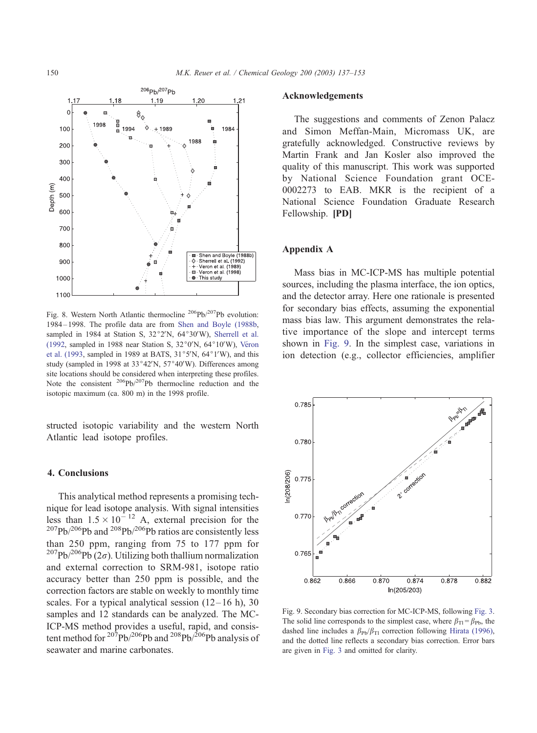<span id="page-13-0"></span>

Fig. 8. Western North Atlantic thermocline <sup>206</sup>Pb/<sup>207</sup>Pb evolution: 1984 – 1998. The profile data are from [Shen and Boyle \(1988b,](#page-15-0) sampled in 1984 at Station S,  $32^{\circ}2'N$ ,  $64^{\circ}30'W$ ), [Sherrell et al.](#page-15-0) (1992, sampled in 1988 near Station S,  $32^{\circ}$ 0'N,  $64^{\circ}$ 10'W), Véron et al. (1993, sampled in 1989 at BATS,  $31^{\circ}5'N$ ,  $64^{\circ}1'W$ ), and this study (sampled in 1998 at  $33^{\circ}42'N$ ,  $57^{\circ}40'W$ ). Differences among site locations should be considered when interpreting these profiles. Note the consistent  $^{206}Pb^{207}Pb$  thermocline reduction and the isotopic maximum (ca. 800 m) in the 1998 profile.

structed isotopic variability and the western North Atlantic lead isotope profiles.

#### 4. Conclusions

This analytical method represents a promising technique for lead isotope analysis. With signal intensities less than  $1.5 \times 10^{-12}$  A, external precision for the  $^{207}Pb^{206}Pb$  and  $^{208}Pb^{206}Pb$  ratios are consistently less than 250 ppm, ranging from 75 to 177 ppm for <sup>207</sup>Pb/<sup>206</sup>Pb (2 $\sigma$ ). Utilizing both thallium normalization and external correction to SRM-981, isotope ratio accuracy better than 250 ppm is possible, and the correction factors are stable on weekly to monthly time scales. For a typical analytical session  $(12-16)$  h), 30 samples and 12 standards can be analyzed. The MC-ICP-MS method provides a useful, rapid, and consistent method for  $207$ Pb/ $206$ Pb and  $208$ Pb/ $206$ Pb analysis of seawater and marine carbonates.

# Acknowledgements

The suggestions and comments of Zenon Palacz and Simon Meffan-Main, Micromass UK, are gratefully acknowledged. Constructive reviews by Martin Frank and Jan Kosler also improved the quality of this manuscript. This work was supported by National Science Foundation grant OCE-0002273 to EAB. MKR is the recipient of a National Science Foundation Graduate Research Fellowship. [PD]

# Appendix A

Mass bias in MC-ICP-MS has multiple potential sources, including the plasma interface, the ion optics, and the detector array. Here one rationale is presented for secondary bias effects, assuming the exponential mass bias law. This argument demonstrates the relative importance of the slope and intercept terms shown in Fig. 9. In the simplest case, variations in ion detection (e.g., collector efficiencies, amplifier



Fig. 9. Secondary bias correction for MC-ICP-MS, following [Fig. 3.](#page-7-0) The solid line corresponds to the simplest case, where  $\beta_{Tl} = \beta_{Pb}$ , the dashed line includes a  $\beta_{\text{Pb}}/\beta_{\text{TI}}$  correction following [Hirata \(1996\),](#page-15-0) and the dotted line reflects a secondary bias correction. Error bars are given in [Fig. 3](#page-7-0) and omitted for clarity.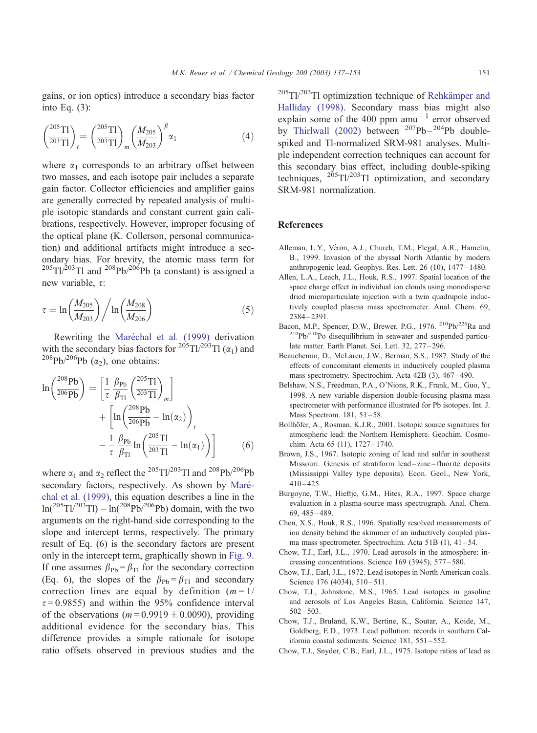<span id="page-14-0"></span>gains, or ion optics) introduce a secondary bias factor into Eq. (3):

$$
\left(\frac{^{205}\text{TI}}{^{203}\text{TI}}\right)_t = \left(\frac{^{205}\text{TI}}{^{203}\text{TI}}\right)_m \left(\frac{M_{205}}{M_{203}}\right)^\beta \alpha_1\tag{4}
$$

where  $\alpha_1$  corresponds to an arbitrary offset between two masses, and each isotope pair includes a separate gain factor. Collector efficiencies and amplifier gains are generally corrected by repeated analysis of multiple isotopic standards and constant current gain calibrations, respectively. However, improper focusing of the optical plane (K. Collerson, personal communication) and additional artifacts might introduce a secondary bias. For brevity, the atomic mass term for  $^{205}$ Tl/<sup>203</sup>Tl and <sup>208</sup>Pb/<sup>206</sup>Pb (a constant) is assigned a new variable,  $\tau$ :

$$
\tau = \ln \left( \frac{M_{205}}{M_{203}} \right) / \ln \left( \frac{M_{208}}{M_{206}} \right)
$$
 (5)

Rewriting the Maréchal et al. (1999) derivation with the secondary bias factors for  $^{205}$ Tl/ $^{203}$ Tl ( $\alpha_1$ ) and <sup>208</sup>Pb/<sup>206</sup>Pb ( $\alpha$ <sub>2</sub>), one obtains:

$$
\ln\left(\frac{^{208}Pb}{^{206}Pb}\right) = \left[\frac{1}{\tau}\frac{\beta_{Pb}}{\beta_{T1}}\left(\frac{^{205}Tl}{^{203}Tl}\right)_{m}\right] + \left[\ln\left(\frac{^{208}Pb}{^{206}Pb} - \ln(\alpha_{2})\right)_{t}\right] - \frac{1}{\tau}\frac{\beta_{Pb}}{\beta_{T1}}\ln\left(\frac{^{205}Tl}{^{203}Tl} - \ln(\alpha_{1})\right)\right]
$$
(6)

where  $\alpha_1$  and  $\alpha_2$  reflect the <sup>205</sup>Tl/<sup>203</sup>Tl and <sup>208</sup>Pb/<sup>206</sup>Pb secondary factors, respectively. As shown by Maréchal et al. (1999), this equation describes a line in the  $ln(^{205}Tl)^{203}Tl) - ln(^{208}Pb)^{206}Pb)$  domain, with the two arguments on the right-hand side corresponding to the slope and intercept terms, respectively. The primary result of Eq. (6) is the secondary factors are present only in the intercept term, graphically shown in [Fig. 9.](#page-13-0) If one assumes  $\beta_{\text{Pb}} = \beta_{\text{TI}}$  for the secondary correction (Eq. 6), the slopes of the  $\beta_{\text{Pb}} = \beta_{\text{Tl}}$  and secondary correction lines are equal by definition  $(m = 1)$  $\tau = 0.9855$ ) and within the 95% confidence interval of the observations ( $m = 0.9919 \pm 0.0090$ ), providing additional evidence for the secondary bias. This difference provides a simple rationale for isotope ratio offsets observed in previous studies and the

 $^{205}$ Tl/<sup>203</sup>Tl optimization technique of Rehkämper and Halliday (1998). Secondary mass bias might also explain some of the 400 ppm  $amu^{-1}$  error observed by [Thirlwall \(2002\)](#page-16-0) between  $207Pb - 204Pb$  doublespiked and Tl-normalized SRM-981 analyses. Multiple independent correction techniques can account for this secondary bias effect, including double-spiking techniques,  $^{205}$ Tl/<sup>203</sup>Tl optimization, and secondary SRM-981 normalization.

### References

- Alleman, L.Y., Véron, A.J., Church, T.M., Flegal, A.R., Hamelin, B., 1999. Invasion of the abyssal North Atlantic by modern anthropogenic lead. Geophys. Res. Lett. 26 (10), 1477 – 1480.
- Allen, L.A., Leach, J.L., Houk, R.S., 1997. Spatial location of the space charge effect in individual ion clouds using monodisperse dried microparticulate injection with a twin quadrupole inductively coupled plasma mass spectrometer. Anal. Chem. 69, 2384 – 2391.
- Bacon, M.P., Spencer, D.W., Brewer, P.G., 1976. <sup>210</sup>Pb/<sup>226</sup>Ra and 210Pb/210Po disequilibrium in seawater and suspended particulate matter. Earth Planet. Sci. Lett. 32, 277-296.
- Beauchemin, D., McLaren, J.W., Berman, S.S., 1987. Study of the effects of concomitant elements in inductively coupled plasma mass spectrometry. Spectrochim. Acta 42B (3), 467 – 490.
- Belshaw, N.S., Freedman, P.A., O'Nions, R.K., Frank, M., Guo, Y., 1998. A new variable dispersion double-focusing plasma mass spectrometer with performance illustrated for Pb isotopes. Int. J. Mass Spectrom. 181, 51-58.
- Bollhöfer, A., Rosman, K.J.R., 2001. Isotopic source signatures for atmospheric lead: the Northern Hemisphere. Geochim. Cosmochim. Acta 65 (11), 1727 – 1740.
- Brown, J.S., 1967. Isotopic zoning of lead and sulfur in southeast Missouri. Genesis of stratiform lead – zinc – fluorite deposits (Mississippi Valley type deposits). Econ. Geol., New York,  $410 - 425$ .
- Burgoyne, T.W., Hieftje, G.M., Hites, R.A., 1997. Space charge evaluation in a plasma-source mass spectrograph. Anal. Chem. 69, 485 – 489.
- Chen, X.S., Houk, R.S., 1996. Spatially resolved measurements of ion density behind the skimmer of an inductively coupled plasma mass spectrometer. Spectrochim. Acta 51B (1), 41-54.
- Chow, T.J., Earl, J.L., 1970. Lead aerosols in the atmosphere: increasing concentrations. Science 169 (3945), 577 – 580.
- Chow, T.J., Earl, J.L., 1972. Lead isotopes in North American coals. Science 176 (4034), 510-511.
- Chow, T.J., Johnstone, M.S., 1965. Lead isotopes in gasoline and aerosols of Los Angeles Basin, California. Science 147,  $502 - 503$ .
- Chow, T.J., Bruland, K.W., Bertine, K., Soutar, A., Koide, M., Goldberg, E.D., 1973. Lead pollution: records in southern California coastal sediments. Science 181, 551 – 552.
- Chow, T.J., Snyder, C.B., Earl, J.L., 1975. Isotope ratios of lead as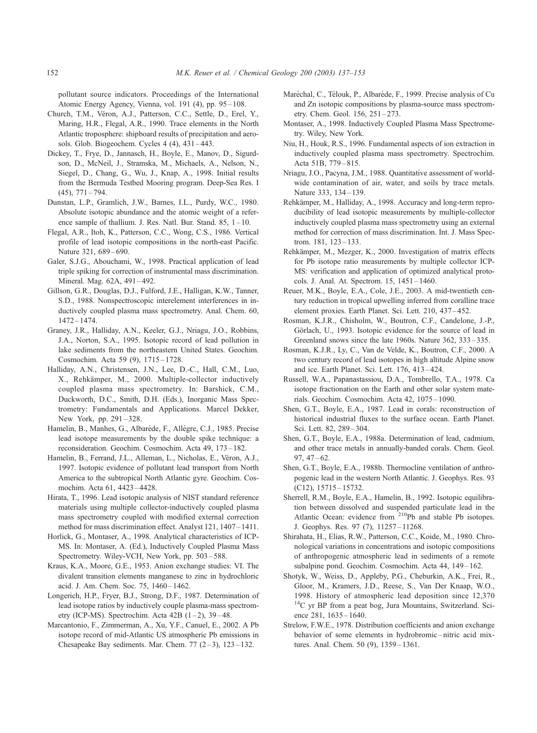pollutant source indicators. Proceedings of the International Atomic Energy Agency, Vienna, vol. 191 (4), pp. 95 – 108.

- Church, T.M., Véron, A.J., Patterson, C.C., Settle, D., Erel, Y., Maring, H.R., Flegal, A.R., 1990. Trace elements in the North Atlantic troposphere: shipboard results of precipitation and aerosols. Glob. Biogeochem. Cycles  $4(4)$ ,  $431-443$ .
- Dickey, T., Frye, D., Jannasch, H., Boyle, E., Manov, D., Sigurdson, D., McNeil, J., Stramska, M., Michaels, A., Nelson, N., Siegel, D., Chang, G., Wu, J., Knap, A., 1998. Initial results from the Bermuda Testbed Mooring program. Deep-Sea Res. I  $(45)$ ,  $771 - 794$ .
- Dunstan, L.P., Gramlich, J.W., Barnes, I.L., Purdy, W.C., 1980. Absolute isotopic abundance and the atomic weight of a reference sample of thallium. J. Res. Natl. Bur. Stand.  $85$ ,  $1-10$ .
- Flegal, A.R., Itoh, K., Patterson, C.C., Wong, C.S., 1986. Vertical profile of lead isotopic compositions in the north-east Pacific. Nature 321, 689-690.
- Galer, S.J.G., Abouchami, W., 1998. Practical application of lead triple spiking for correction of instrumental mass discrimination. Mineral. Mag. 62A, 491-492.
- Gillson, G.R., Douglas, D.J., Fulford, J.E., Halligan, K.W., Tanner, S.D., 1988. Nonspectroscopic interelement interferences in inductively coupled plasma mass spectrometry. Anal. Chem. 60, 1472 – 1474.
- Graney, J.R., Halliday, A.N., Keeler, G.J., Nriagu, J.O., Robbins, J.A., Norton, S.A., 1995. Isotopic record of lead pollution in lake sediments from the northeastern United States. Geochim. Cosmochim. Acta 59 (9), 1715 – 1728.
- Halliday, A.N., Christensen, J.N., Lee, D.-C., Hall, C.M., Luo, X., Rehkämper, M., 2000. Multiple-collector inductively coupled plasma mass spectrometry. In: Barshick, C.M., Duckworth, D.C., Smith, D.H. (Eds.), Inorganic Mass Spectrometry: Fundamentals and Applications. Marcel Dekker, New York, pp. 291-328.
- Hamelin, B., Manhes, G., Albaréde, F., Allégre, C.J., 1985. Precise lead isotope measurements by the double spike technique: a reconsideration. Geochim. Cosmochim. Acta 49, 173 – 182.
- Hamelin, B., Ferrand, J.L., Alleman, L., Nicholas, E., Véron, A.J., 1997. Isotopic evidence of pollutant lead transport from North America to the subtropical North Atlantic gyre. Geochim. Cosmochim. Acta 61, 4423 – 4428.
- Hirata, T., 1996. Lead isotopic analysis of NIST standard reference materials using multiple collector-inductively coupled plasma mass spectrometry coupled with modified external correction method for mass discrimination effect. Analyst 121, 1407 – 1411.
- Horlick, G., Montaser, A., 1998. Analytical characteristics of ICP-MS. In: Montaser, A. (Ed.), Inductively Coupled Plasma Mass Spectrometry. Wiley-VCH, New York, pp. 503 – 588.
- Kraus, K.A., Moore, G.E., 1953. Anion exchange studies: VI. The divalent transition elements manganese to zinc in hydrochloric acid. J. Am. Chem. Soc. 75, 1460-1462.
- Longerich, H.P., Fryer, B.J., Strong, D.F., 1987. Determination of lead isotope ratios by inductively couple plasma-mass spectrometry (ICP-MS). Spectrochim. Acta 42B (1-2), 39-48.
- Marcantonio, F., Zimmerman, A., Xu, Y.F., Canuel, E., 2002. A Pb isotope record of mid-Atlantic US atmospheric Pb emissions in Chesapeake Bay sediments. Mar. Chem.  $77$   $(2-3)$ ,  $123-132$ .
- Maréchal, C., Télouk, P., Albarède, F., 1999. Precise analysis of Cu and Zn isotopic compositions by plasma-source mass spectrometry. Chem. Geol. 156, 251 – 273.
- Montaser, A., 1998. Inductively Coupled Plasma Mass Spectrometry. Wiley, New York.
- Niu, H., Houk, R.S., 1996. Fundamental aspects of ion extraction in inductively coupled plasma mass spectrometry. Spectrochim. Acta 51B, 779 – 815.
- Nriagu, J.O., Pacyna, J.M., 1988. Quantitative assessment of worldwide contamination of air, water, and soils by trace metals. Nature 333, 134-139.
- Rehkämper, M., Halliday, A., 1998. Accuracy and long-term reproducibility of lead isotopic measurements by multiple-collector inductively coupled plasma mass spectrometry using an external method for correction of mass discrimination. Int. J. Mass Spectrom. 181, 123-133.
- Rehkämper, M., Mezger, K., 2000. Investigation of matrix effects for Pb isotope ratio measurements by multiple collector ICP-MS: verification and application of optimized analytical protocols. J. Anal. At. Spectrom. 15, 1451 – 1460.
- Reuer, M.K., Boyle, E.A., Cole, J.E., 2003. A mid-twentieth century reduction in tropical upwelling inferred from coralline trace element proxies. Earth Planet. Sci. Lett. 210, 437 – 452.
- Rosman, K.J.R., Chisholm, W., Boutron, C.F., Candelone, J.-P., Görlach, U., 1993. Isotopic evidence for the source of lead in Greenland snows since the late 1960s. Nature 362, 333 – 335.
- Rosman, K.J.R., Ly, C., Van de Velde, K., Boutron, C.F., 2000. A two century record of lead isotopes in high altitude Alpine snow and ice. Earth Planet. Sci. Lett. 176, 413 – 424.
- Russell, W.A., Papanastassiou, D.A., Tombrello, T.A., 1978. Ca isotope fractionation on the Earth and other solar system materials. Geochim. Cosmochim. Acta 42, 1075 – 1090.
- Shen, G.T., Boyle, E.A., 1987. Lead in corals: reconstruction of historical industrial fluxes to the surface ocean. Earth Planet. Sci. Lett. 82, 289 – 304.
- Shen, G.T., Boyle, E.A., 1988a. Determination of lead, cadmium, and other trace metals in annually-banded corals. Chem. Geol.  $97, 47 - 62.$
- Shen, G.T., Boyle, E.A., 1988b. Thermocline ventilation of anthropogenic lead in the western North Atlantic. J. Geophys. Res. 93 (C12), 15715 – 15732.
- Sherrell, R.M., Boyle, E.A., Hamelin, B., 1992. Isotopic equilibration between dissolved and suspended particulate lead in the Atlantic Ocean: evidence from <sup>210</sup>Pb and stable Pb isotopes. J. Geophys. Res. 97 (7), 11257 – 11268.
- Shirahata, H., Elias, R.W., Patterson, C.C., Koide, M., 1980. Chronological variations in concentrations and isotopic compositions of anthropogenic atmospheric lead in sediments of a remote subalpine pond. Geochim. Cosmochim. Acta 44, 149-162.
- Shotyk, W., Weiss, D., Appleby, P.G., Cheburkin, A.K., Frei, R., Gloor, M., Kramers, J.D., Reese, S., Van Der Knaap, W.O., 1998. History of atmospheric lead deposition since 12,370 14C yr BP from a peat bog, Jura Mountains, Switzerland. Science 281, 1635 – 1640.
- Strelow, F.W.E., 1978. Distribution coefficients and anion exchange behavior of some elements in hydrobromic – nitric acid mixtures. Anal. Chem. 50 (9), 1359 – 1361.

<span id="page-15-0"></span>